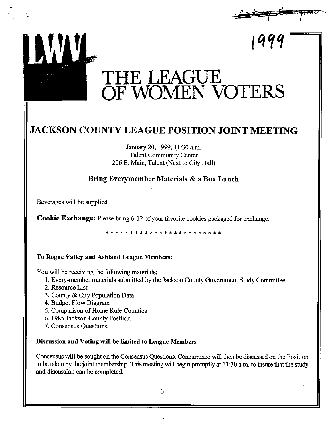

# **JACKSON COUNTY LEAGUE POSITION JOINT MEETING**

January 20, 1999, 11:30 a.m. Talent Community Center 206 E. Main, Talent (Next to City Hall)

### **Bring Everymember Materials & a Box Lunch**

Beverages will be supplied

· ,

**Cookie Exchange:** Please bring 6-12 of your favorite cookies packaged for exchange.

\* \* \* \* \* \* \* \* \* \* \* \* \* \* \* \* \* \* \* \* \* \* \* \*

### **To Rogue Valley and Ashland League Members:**

You will be receiving the following materials:

- 1. Every-member materials submitted by the Jackson County Government Study Committee.
- 2. Resource List
- 3. County & City Population Data
- 4. Budget Flow Diagram
- 5. Comparison of Home Rule Counties
- 6. 1985 Jackson County Position
- 7. Consensus Questions.

#### **Discussion and Voting will be limited to League Members**

Consensus will be sought on the Consensus Questions. Concurrence will then be discussed on the Position to be taken by the joint membership. This meeting will begin promptly at 11 :30 a.m. to insure that the study and discussion can be completed.

3